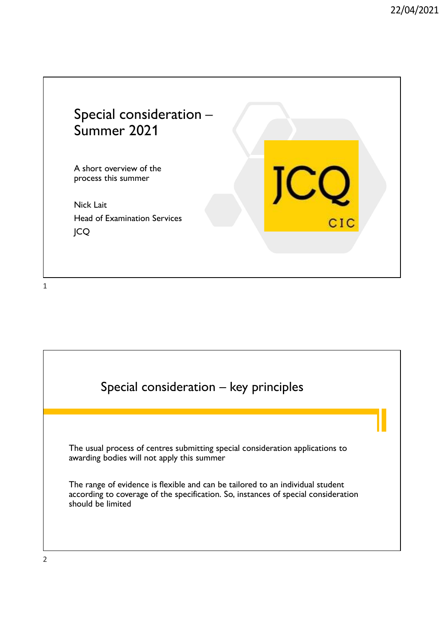

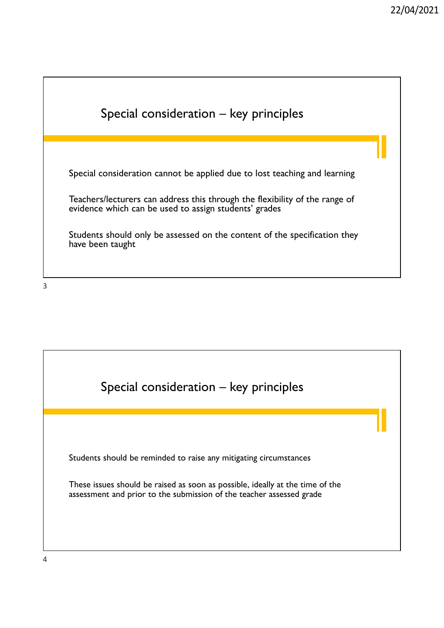

3

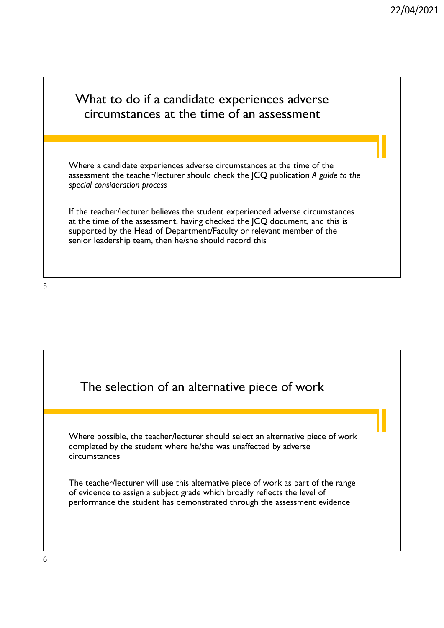## What to do if a candidate experiences adverse circumstances at the time of an assessment Where a candidate experiences adverse circumstances at the time of the assessment the teacher/lecturer should check the JCQ publication A guide to the special consideration process If the teacher/lecturer believes the student experienced adverse circumstances at the time of the assessment, having checked the JCQ document, and this is supported by the Head of Department/Faculty or relevant member of the senior leadership team, then he/she should record this

 $5<sub>5</sub>$ 

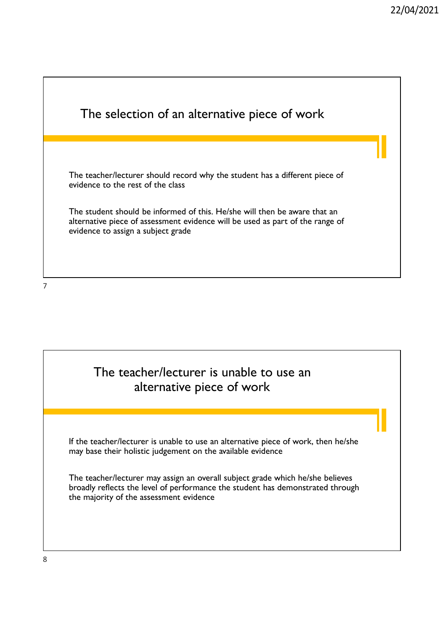| The selection of an alternative piece of work                                                                                                                                                    |  |
|--------------------------------------------------------------------------------------------------------------------------------------------------------------------------------------------------|--|
|                                                                                                                                                                                                  |  |
|                                                                                                                                                                                                  |  |
| The teacher/lecturer should record why the student has a different piece of<br>evidence to the rest of the class                                                                                 |  |
| The student should be informed of this. He/she will then be aware that an<br>alternative piece of assessment evidence will be used as part of the range of<br>evidence to assign a subject grade |  |
|                                                                                                                                                                                                  |  |
|                                                                                                                                                                                                  |  |